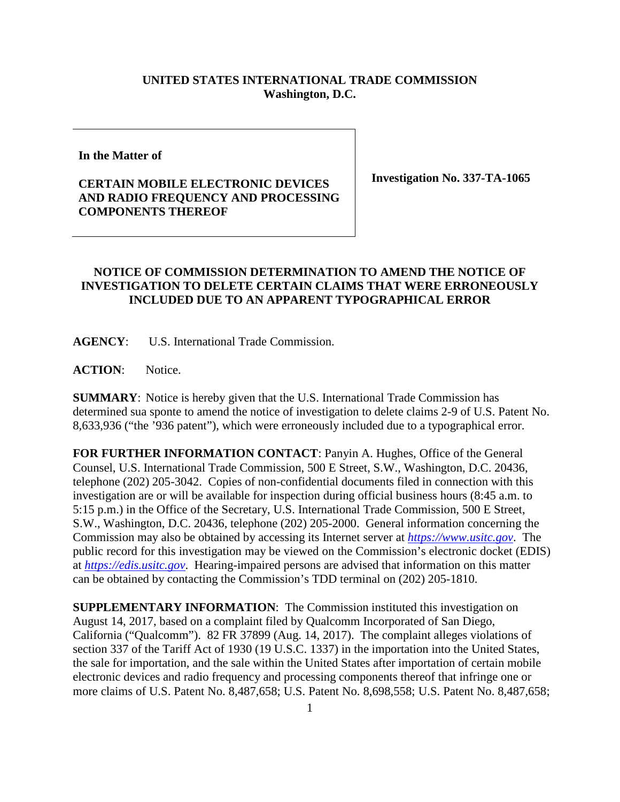## **UNITED STATES INTERNATIONAL TRADE COMMISSION Washington, D.C.**

**In the Matter of**

## **CERTAIN MOBILE ELECTRONIC DEVICES AND RADIO FREQUENCY AND PROCESSING COMPONENTS THEREOF**

**Investigation No. 337-TA-1065**

## **NOTICE OF COMMISSION DETERMINATION TO AMEND THE NOTICE OF INVESTIGATION TO DELETE CERTAIN CLAIMS THAT WERE ERRONEOUSLY INCLUDED DUE TO AN APPARENT TYPOGRAPHICAL ERROR**

**AGENCY**: U.S. International Trade Commission.

**ACTION**: Notice.

**SUMMARY**: Notice is hereby given that the U.S. International Trade Commission has determined sua sponte to amend the notice of investigation to delete claims 2-9 of U.S. Patent No. 8,633,936 ("the '936 patent"), which were erroneously included due to a typographical error.

**FOR FURTHER INFORMATION CONTACT**: Panyin A. Hughes, Office of the General Counsel, U.S. International Trade Commission, 500 E Street, S.W., Washington, D.C. 20436, telephone (202) 205-3042. Copies of non-confidential documents filed in connection with this investigation are or will be available for inspection during official business hours (8:45 a.m. to 5:15 p.m.) in the Office of the Secretary, U.S. International Trade Commission, 500 E Street, S.W., Washington, D.C. 20436, telephone (202) 205-2000. General information concerning the Commission may also be obtained by accessing its Internet server at *[https://www.usitc.gov](https://www.usitc.gov/)*. The public record for this investigation may be viewed on the Commission's electronic docket (EDIS) at *[https://edis.usitc.gov](https://edis.usitc.gov/)*. Hearing-impaired persons are advised that information on this matter can be obtained by contacting the Commission's TDD terminal on (202) 205-1810.

**SUPPLEMENTARY INFORMATION**: The Commission instituted this investigation on August 14, 2017, based on a complaint filed by Qualcomm Incorporated of San Diego, California ("Qualcomm"). 82 FR 37899 (Aug. 14, 2017). The complaint alleges violations of section 337 of the Tariff Act of 1930 (19 U.S.C. 1337) in the importation into the United States, the sale for importation, and the sale within the United States after importation of certain mobile electronic devices and radio frequency and processing components thereof that infringe one or more claims of U.S. Patent No. 8,487,658; U.S. Patent No. 8,698,558; U.S. Patent No. 8,487,658;